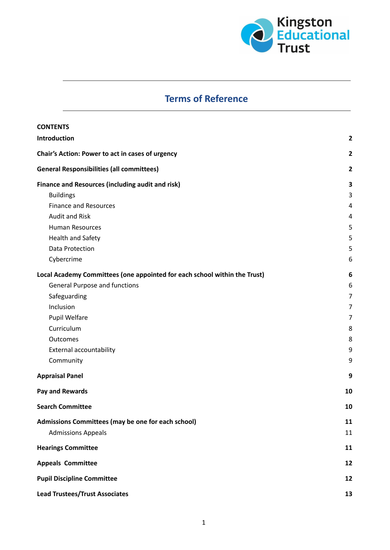

# **Terms of Reference**

| <b>CONTENTS</b>                                                           |                |
|---------------------------------------------------------------------------|----------------|
| Introduction                                                              | $\mathbf{2}$   |
| Chair's Action: Power to act in cases of urgency                          |                |
| <b>General Responsibilities (all committees)</b>                          | $\mathbf{2}$   |
| Finance and Resources (including audit and risk)                          | 3              |
| <b>Buildings</b>                                                          | 3              |
| <b>Finance and Resources</b>                                              | 4              |
| <b>Audit and Risk</b>                                                     | 4              |
| <b>Human Resources</b>                                                    | 5              |
| Health and Safety                                                         | 5              |
| <b>Data Protection</b>                                                    | 5              |
| Cybercrime                                                                | 6              |
| Local Academy Committees (one appointed for each school within the Trust) | 6              |
| <b>General Purpose and functions</b>                                      | 6              |
| Safeguarding                                                              | 7              |
| Inclusion                                                                 | 7              |
| Pupil Welfare                                                             | $\overline{7}$ |
| Curriculum                                                                | 8              |
| Outcomes                                                                  | 8              |
| External accountability                                                   | 9              |
| Community                                                                 | 9              |
| <b>Appraisal Panel</b>                                                    | 9              |
| Pay and Rewards                                                           | 10             |
| <b>Search Committee</b>                                                   | 10             |
| Admissions Committees (may be one for each school)                        | 11             |
| <b>Admissions Appeals</b>                                                 | 11             |
| <b>Hearings Committee</b>                                                 | 11             |
| <b>Appeals Committee</b>                                                  | 12             |
| <b>Pupil Discipline Committee</b>                                         |                |
| <b>Lead Trustees/Trust Associates</b>                                     |                |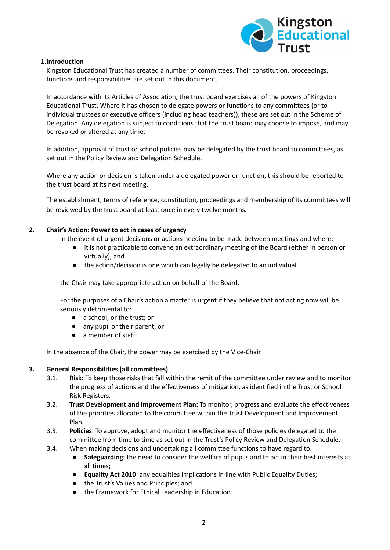

## <span id="page-1-0"></span>**1.Introduction**

Kingston Educational Trust has created a number of committees. Their constitution, proceedings, functions and responsibilities are set out in this document.

In accordance with its Articles of Association, the trust board exercises all of the powers of Kingston Educational Trust. Where it has chosen to delegate powers or functions to any committees (or to individual trustees or executive officers (including head teachers)), these are set out in the Scheme of Delegation. Any delegation is subject to conditions that the trust board may choose to impose, and may be revoked or altered at any time.

In addition, approval of trust or school policies may be delegated by the trust board to committees, as set out in the Policy Review and Delegation Schedule.

Where any action or decision is taken under a delegated power or function, this should be reported to the trust board at its next meeting.

The establishment, terms of reference, constitution, proceedings and membership of its committees will be reviewed by the trust board at least once in every twelve months.

## <span id="page-1-1"></span>**2. Chair's Action: Power to act in cases of urgency**

In the event of urgent decisions or actions needing to be made between meetings and where:

- it is not practicable to convene an extraordinary meeting of the Board (either in person or virtually); and
- the action/decision is one which can legally be delegated to an individual

the Chair may take appropriate action on behalf of the Board.

For the purposes of a Chair's action a matter is urgent if they believe that not acting now will be seriously detrimental to:

- a school, or the trust; or
- any pupil or their parent, or
- a member of staff.

In the absence of the Chair, the power may be exercised by the Vice-Chair.

# <span id="page-1-2"></span>**3. General Responsibilities (all committees)**

- 3.1. **Risk:** To keep those risks that fall within the remit of the committee under review and to monitor the progress of actions and the effectiveness of mitigation, as identified in the Trust or School Risk Registers.
- 3.2. **Trust Development and Improvement Plan:** To monitor, progress and evaluate the effectiveness of the priorities allocated to the committee within the Trust Development and Improvement Plan.
- 3.3. **Policies**: To approve, adopt and monitor the effectiveness of those policies delegated to the committee from time to time as set out in the Trust's Policy Review and Delegation Schedule.
- 3.4. When making decisions and undertaking all committee functions to have regard to:
	- **Safeguarding:** the need to consider the welfare of pupils and to act in their best interests at all times;
	- **Equality Act 2010**: any equalities implications in line with Public Equality Duties;
	- the Trust's Values and Principles; and
	- the Framework for Ethical Leadership in Education.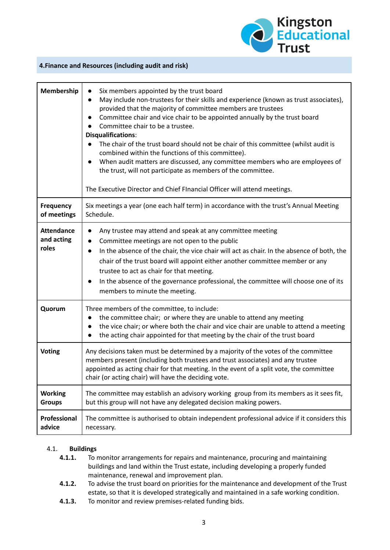

#### <span id="page-2-0"></span>**4.Finance and Resources (including audit and risk)**

| Membership                               | Six members appointed by the trust board<br>$\bullet$<br>May include non-trustees for their skills and experience (known as trust associates),<br>$\bullet$<br>provided that the majority of committee members are trustees<br>Committee chair and vice chair to be appointed annually by the trust board<br>$\bullet$<br>Committee chair to be a trustee.<br><b>Disqualifications:</b><br>The chair of the trust board should not be chair of this committee (whilst audit is<br>combined within the functions of this committee).<br>When audit matters are discussed, any committee members who are employees of<br>$\bullet$<br>the trust, will not participate as members of the committee.<br>The Executive Director and Chief FInancial Officer will attend meetings. |
|------------------------------------------|------------------------------------------------------------------------------------------------------------------------------------------------------------------------------------------------------------------------------------------------------------------------------------------------------------------------------------------------------------------------------------------------------------------------------------------------------------------------------------------------------------------------------------------------------------------------------------------------------------------------------------------------------------------------------------------------------------------------------------------------------------------------------|
| <b>Frequency</b><br>of meetings          | Six meetings a year (one each half term) in accordance with the trust's Annual Meeting<br>Schedule.                                                                                                                                                                                                                                                                                                                                                                                                                                                                                                                                                                                                                                                                          |
| <b>Attendance</b><br>and acting<br>roles | Any trustee may attend and speak at any committee meeting<br>$\bullet$<br>Committee meetings are not open to the public<br>$\bullet$<br>In the absence of the chair, the vice chair will act as chair. In the absence of both, the<br>$\bullet$<br>chair of the trust board will appoint either another committee member or any<br>trustee to act as chair for that meeting.<br>In the absence of the governance professional, the committee will choose one of its<br>$\bullet$<br>members to minute the meeting.                                                                                                                                                                                                                                                           |
| Quorum                                   | Three members of the committee, to include:<br>the committee chair; or where they are unable to attend any meeting<br>$\bullet$<br>the vice chair; or where both the chair and vice chair are unable to attend a meeting<br>$\bullet$<br>the acting chair appointed for that meeting by the chair of the trust board<br>$\bullet$                                                                                                                                                                                                                                                                                                                                                                                                                                            |
| <b>Voting</b>                            | Any decisions taken must be determined by a majority of the votes of the committee<br>members present (including both trustees and trust associates) and any trustee<br>appointed as acting chair for that meeting. In the event of a split vote, the committee<br>chair (or acting chair) will have the deciding vote.                                                                                                                                                                                                                                                                                                                                                                                                                                                      |
| <b>Working</b><br><b>Groups</b>          | The committee may establish an advisory working group from its members as it sees fit,<br>but this group will not have any delegated decision making powers.                                                                                                                                                                                                                                                                                                                                                                                                                                                                                                                                                                                                                 |
| Professional<br>advice                   | The committee is authorised to obtain independent professional advice if it considers this<br>necessary.                                                                                                                                                                                                                                                                                                                                                                                                                                                                                                                                                                                                                                                                     |

#### <span id="page-2-1"></span>4.1. **Buildings**

- **4.1.1.** To monitor arrangements for repairs and maintenance, procuring and maintaining buildings and land within the Trust estate, including developing a properly funded maintenance, renewal and improvement plan.
- **4.1.2.** To advise the trust board on priorities for the maintenance and development of the Trust estate, so that it is developed strategically and maintained in a safe working condition.
- **4.1.3.** To monitor and review premises-related funding bids.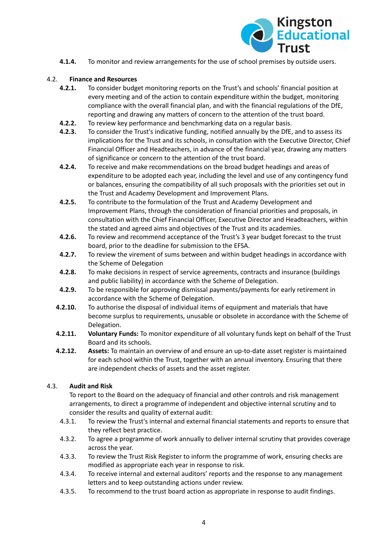

**4.1.4.** To monitor and review arrangements for the use of school premises by outside users.

## <span id="page-3-0"></span>4.2. **Finance and Resources**

- **4.2.1.** To consider budget monitoring reports on the Trust's and schools' financial position at every meeting and of the action to contain expenditure within the budget, monitoring compliance with the overall financial plan, and with the financial regulations of the DfE, reporting and drawing any matters of concern to the attention of the trust board.
- **4.2.2.** To review key performance and benchmarking data on a regular basis.
- **4.2.3.** To consider the Trust's indicative funding, notified annually by the DfE, and to assess its implications for the Trust and its schools, in consultation with the Executive Director, Chief Financial Officer and Headteachers, in advance of the financial year, drawing any matters of significance or concern to the attention of the trust board.
- **4.2.4.** To receive and make recommendations on the broad budget headings and areas of expenditure to be adopted each year, including the level and use of any contingency fund or balances, ensuring the compatibility of all such proposals with the priorities set out in the Trust and Academy Development and Improvement Plans.
- **4.2.5.** To contribute to the formulation of the Trust and Academy Development and Improvement Plans, through the consideration of financial priorities and proposals, in consultation with the Chief Financial Officer, Executive Director and Headteachers, within the stated and agreed aims and objectives of the Trust and its academies.
- **4.2.6.** To review and recommend acceptance of the Trust's 3 year budget forecast to the trust board, prior to the deadline for submission to the EFSA.
- **4.2.7.** To review the virement of sums between and within budget headings in accordance with the Scheme of Delegation
- **4.2.8.** To make decisions in respect of service agreements, contracts and insurance (buildings and public liability) in accordance with the Scheme of Delegation.
- **4.2.9.** To be responsible for approving dismissal payments/payments for early retirement in accordance with the Scheme of Delegation.
- **4.2.10.** To authorise the disposal of individual items of equipment and materials that have become surplus to requirements, unusable or obsolete in accordance with the Scheme of Delegation.
- **4.2.11. Voluntary Funds:** To monitor expenditure of all voluntary funds kept on behalf of the Trust Board and its schools.
- **4.2.12. Assets:** To maintain an overview of and ensure an up-to-date asset register is maintained for each school within the Trust, together with an annual inventory. Ensuring that there are independent checks of assets and the asset register.

#### <span id="page-3-1"></span>4.3. **Audit and Risk**

To report to the Board on the adequacy of financial and other controls and risk management arrangements, to direct a programme of independent and objective internal scrutiny and to consider the results and quality of external audit:

- 4.3.1. To review the Trust's internal and external financial statements and reports to ensure that they reflect best practice.
- 4.3.2. To agree a programme of work annually to deliver internal scrutiny that provides coverage across the year.
- 4.3.3. To review the Trust Risk Register to inform the programme of work, ensuring checks are modified as appropriate each year in response to risk.
- 4.3.4. To receive internal and external auditors' reports and the response to any management letters and to keep outstanding actions under review.
- 4.3.5. To recommend to the trust board action as appropriate in response to audit findings.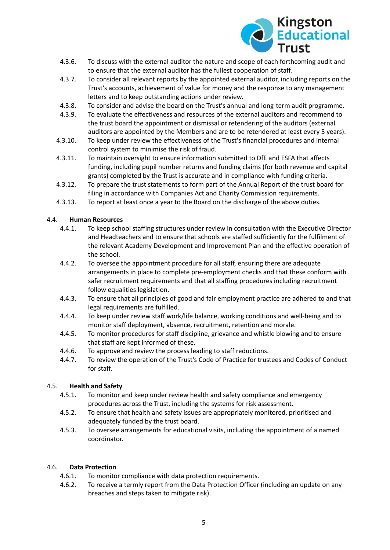

- 4.3.6. To discuss with the external auditor the nature and scope of each forthcoming audit and to ensure that the external auditor has the fullest cooperation of staff.
- 4.3.7. To consider all relevant reports by the appointed external auditor, including reports on the Trust's accounts, achievement of value for money and the response to any management letters and to keep outstanding actions under review.
- 4.3.8. To consider and advise the board on the Trust's annual and long-term audit programme.
- 4.3.9. To evaluate the effectiveness and resources of the external auditors and recommend to the trust board the appointment or dismissal or retendering of the auditors (external auditors are appointed by the Members and are to be retendered at least every 5 years).
- 4.3.10. To keep under review the effectiveness of the Trust's financial procedures and internal control system to minimise the risk of fraud.
- 4.3.11. To maintain oversight to ensure information submitted to DfE and ESFA that affects funding, including pupil number returns and funding claims (for both revenue and capital grants) completed by the Trust is accurate and in compliance with funding criteria.
- 4.3.12. To prepare the trust statements to form part of the Annual Report of the trust board for filing in accordance with Companies Act and Charity Commission requirements.
- 4.3.13. To report at least once a year to the Board on the discharge of the above duties.

## <span id="page-4-0"></span>4.4. **Human Resources**

- 4.4.1. To keep school staffing structures under review in consultation with the Executive Director and Headteachers and to ensure that schools are staffed sufficiently for the fulfilment of the relevant Academy Development and Improvement Plan and the effective operation of the school.
- 4.4.2. To oversee the appointment procedure for all staff, ensuring there are adequate arrangements in place to complete pre-employment checks and that these conform with safer recruitment requirements and that all staffing procedures including recruitment follow equalities legislation.
- 4.4.3. To ensure that all principles of good and fair employment practice are adhered to and that legal requirements are fulfilled.
- 4.4.4. To keep under review staff work/life balance, working conditions and well-being and to monitor staff deployment, absence, recruitment, retention and morale.
- 4.4.5. To monitor procedures for staff discipline, grievance and whistle blowing and to ensure that staff are kept informed of these.
- 4.4.6. To approve and review the process leading to staff reductions.
- 4.4.7. To review the operation of the Trust's Code of Practice for trustees and Codes of Conduct for staff.

#### <span id="page-4-1"></span>4.5. **Health and Safety**

- 4.5.1. To monitor and keep under review health and safety compliance and emergency procedures across the Trust, including the systems for risk assessment.
- 4.5.2. To ensure that health and safety issues are appropriately monitored, prioritised and adequately funded by the trust board.
- 4.5.3. To oversee arrangements for educational visits, including the appointment of a named coordinator.

#### <span id="page-4-2"></span>4.6. **Data Protection**

- 4.6.1. To monitor compliance with data protection requirements.
- 4.6.2. To receive a termly report from the Data Protection Officer (including an update on any breaches and steps taken to mitigate risk).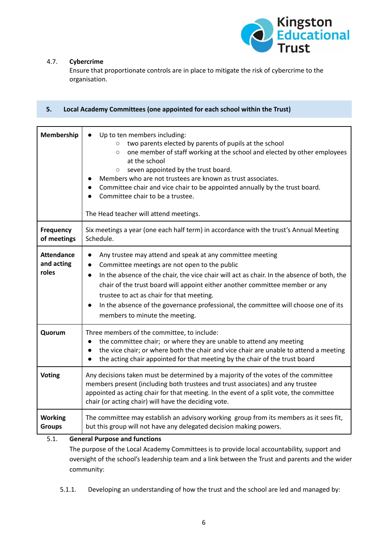

## <span id="page-5-0"></span>4.7. **Cybercrime**

Ensure that proportionate controls are in place to mitigate the risk of cybercrime to the organisation.

<span id="page-5-1"></span>

| 5.<br>Local Academy Committees (one appointed for each school within the Trust) |                                                                                                                                                                                                                                                                                                                                                                                                                                                                                                                    |
|---------------------------------------------------------------------------------|--------------------------------------------------------------------------------------------------------------------------------------------------------------------------------------------------------------------------------------------------------------------------------------------------------------------------------------------------------------------------------------------------------------------------------------------------------------------------------------------------------------------|
|                                                                                 |                                                                                                                                                                                                                                                                                                                                                                                                                                                                                                                    |
| Membership                                                                      | Up to ten members including:<br>two parents elected by parents of pupils at the school<br>$\circ$<br>one member of staff working at the school and elected by other employees<br>$\circ$<br>at the school<br>seven appointed by the trust board.<br>$\circ$<br>Members who are not trustees are known as trust associates.<br>Committee chair and vice chair to be appointed annually by the trust board.<br>Committee chair to be a trustee.<br>The Head teacher will attend meetings.                            |
| Frequency<br>of meetings                                                        | Six meetings a year (one each half term) in accordance with the trust's Annual Meeting<br>Schedule.                                                                                                                                                                                                                                                                                                                                                                                                                |
| <b>Attendance</b><br>and acting<br>roles                                        | Any trustee may attend and speak at any committee meeting<br>$\bullet$<br>Committee meetings are not open to the public<br>$\bullet$<br>In the absence of the chair, the vice chair will act as chair. In the absence of both, the<br>$\bullet$<br>chair of the trust board will appoint either another committee member or any<br>trustee to act as chair for that meeting.<br>In the absence of the governance professional, the committee will choose one of its<br>$\bullet$<br>members to minute the meeting. |
| Quorum                                                                          | Three members of the committee, to include:<br>the committee chair; or where they are unable to attend any meeting<br>$\bullet$<br>the vice chair; or where both the chair and vice chair are unable to attend a meeting<br>the acting chair appointed for that meeting by the chair of the trust board                                                                                                                                                                                                            |
| <b>Voting</b>                                                                   | Any decisions taken must be determined by a majority of the votes of the committee<br>members present (including both trustees and trust associates) and any trustee<br>appointed as acting chair for that meeting. In the event of a split vote, the committee<br>chair (or acting chair) will have the deciding vote.                                                                                                                                                                                            |
| <b>Working</b><br><b>Groups</b>                                                 | The committee may establish an advisory working group from its members as it sees fit,<br>but this group will not have any delegated decision making powers.                                                                                                                                                                                                                                                                                                                                                       |

## <span id="page-5-2"></span>5.1. **General Purpose and functions**

The purpose of the Local Academy Committees is to provide local accountability, support and oversight of the school's leadership team and a link between the Trust and parents and the wider community:

5.1.1. Developing an understanding of how the trust and the school are led and managed by: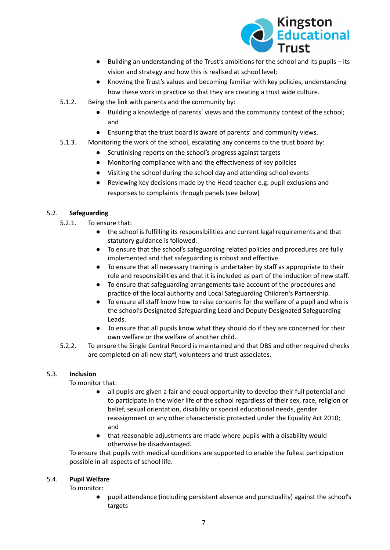

- Building an understanding of the Trust's ambitions for the school and its pupils its vision and strategy and how this is realised at school level;
- Knowing the Trust's values and becoming familiar with key policies, understanding how these work in practice so that they are creating a trust wide culture.
- 5.1.2. Being the link with parents and the community by:
	- Building a knowledge of parents' views and the community context of the school; and
	- Ensuring that the trust board is aware of parents' and community views.
- 5.1.3. Monitoring the work of the school, escalating any concerns to the trust board by:
	- Scrutinising reports on the school's progress against targets
	- Monitoring compliance with and the effectiveness of key policies
	- Visiting the school during the school day and attending school events
	- Reviewing key decisions made by the Head teacher e.g. pupil exclusions and responses to complaints through panels (see below)

# <span id="page-6-0"></span>5.2. **Safeguarding**

- 5.2.1. To ensure that:
	- the school is fulfilling its responsibilities and current legal requirements and that statutory guidance is followed.
	- To ensure that the school's safeguarding related policies and procedures are fully implemented and that safeguarding is robust and effective.
	- To ensure that all necessary training is undertaken by staff as appropriate to their role and responsibilities and that it is included as part of the induction of new staff.
	- To ensure that safeguarding arrangements take account of the procedures and practice of the local authority and Local Safeguarding Children's Partnership.
	- To ensure all staff know how to raise concerns for the welfare of a pupil and who is the school's Designated Safeguarding Lead and Deputy Designated Safeguarding Leads.
	- To ensure that all pupils know what they should do if they are concerned for their own welfare or the welfare of another child.
- 5.2.2. To ensure the Single Central Record is maintained and that DBS and other required checks are completed on all new staff, volunteers and trust associates.

# <span id="page-6-1"></span>5.3. **Inclusion**

To monitor that:

- all pupils are given a fair and equal opportunity to develop their full potential and to participate in the wider life of the school regardless of their sex, race, religion or belief, sexual orientation, disability or special educational needs, gender reassignment or any other characteristic protected under the Equality Act 2010; and
- that reasonable adjustments are made where pupils with a disability would otherwise be disadvantaged.

To ensure that pupils with medical conditions are supported to enable the fullest participation possible in all aspects of school life.

#### <span id="page-6-2"></span>5.4. **Pupil Welfare**

To monitor:

● pupil attendance (including persistent absence and punctuality) against the school's targets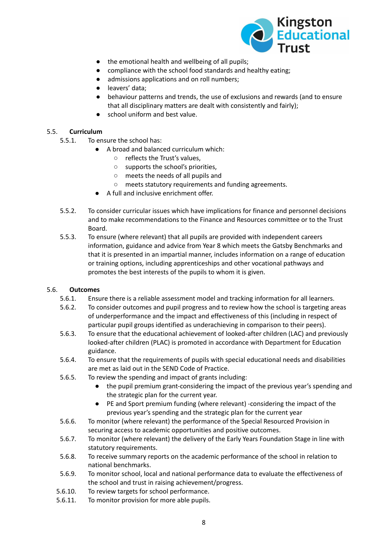

- the emotional health and wellbeing of all pupils;
- compliance with the school food standards and healthy eating;
- admissions applications and on roll numbers;
- leavers' data:
- behaviour patterns and trends, the use of exclusions and rewards (and to ensure that all disciplinary matters are dealt with consistently and fairly);
- school uniform and best value.

#### <span id="page-7-0"></span>5.5. **Curriculum**

- 5.5.1. To ensure the school has:
	- A broad and balanced curriculum which:
		- reflects the Trust's values,
		- supports the school's priorities,
		- meets the needs of all pupils and
		- meets statutory requirements and funding agreements.
	- A full and inclusive enrichment offer.
- 5.5.2. To consider curricular issues which have implications for finance and personnel decisions and to make recommendations to the Finance and Resources committee or to the Trust Board.
- 5.5.3. To ensure (where relevant) that all pupils are provided with independent careers information, guidance and advice from Year 8 which meets the Gatsby Benchmarks and that it is presented in an impartial manner, includes information on a range of education or training options, including apprenticeships and other vocational pathways and promotes the best interests of the pupils to whom it is given.

#### <span id="page-7-1"></span>5.6. **Outcomes**

- 5.6.1. Ensure there is a reliable assessment model and tracking information for all learners.
- 5.6.2. To consider outcomes and pupil progress and to review how the school is targeting areas of underperformance and the impact and effectiveness of this (including in respect of particular pupil groups identified as underachieving in comparison to their peers).
- 5.6.3. To ensure that the educational achievement of looked-after children (LAC) and previously looked-after children (PLAC) is promoted in accordance with Department for Education guidance.
- 5.6.4. To ensure that the requirements of pupils with special educational needs and disabilities are met as laid out in the SEND Code of Practice.
- 5.6.5. To review the spending and impact of grants including:
	- the pupil premium grant-considering the impact of the previous year's spending and the strategic plan for the current year.
	- PE and Sport premium funding (where relevant) -considering the impact of the previous year's spending and the strategic plan for the current year
- 5.6.6. To monitor (where relevant) the performance of the Special Resourced Provision in securing access to academic opportunities and positive outcomes.
- 5.6.7. To monitor (where relevant) the delivery of the Early Years Foundation Stage in line with statutory requirements.
- 5.6.8. To receive summary reports on the academic performance of the school in relation to national benchmarks.
- 5.6.9. To monitor school, local and national performance data to evaluate the effectiveness of the school and trust in raising achievement/progress.
- 5.6.10. To review targets for school performance.
- 5.6.11. To monitor provision for more able pupils.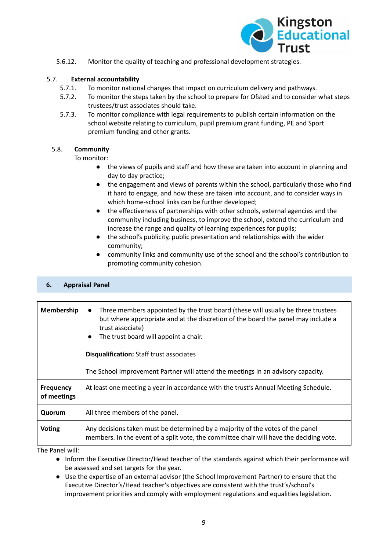

5.6.12. Monitor the quality of teaching and professional development strategies.

## <span id="page-8-0"></span>5.7. **External accountability**

- 5.7.1. To monitor national changes that impact on curriculum delivery and pathways.
- 5.7.2. To monitor the steps taken by the school to prepare for Ofsted and to consider what steps trustees/trust associates should take.
- 5.7.3. To monitor compliance with legal requirements to publish certain information on the school website relating to curriculum, pupil premium grant funding, PE and Sport premium funding and other grants.

# <span id="page-8-1"></span>5.8. **Community**

To monitor:

- the views of pupils and staff and how these are taken into account in planning and day to day practice;
- the engagement and views of parents within the school, particularly those who find it hard to engage, and how these are taken into account, and to consider ways in which home-school links can be further developed;
- the effectiveness of partnerships with other schools, external agencies and the community including business, to improve the school, extend the curriculum and increase the range and quality of learning experiences for pupils;
- the school's publicity, public presentation and relationships with the wider community;
- community links and community use of the school and the school's contribution to promoting community cohesion.

# <span id="page-8-2"></span>**6. Appraisal Panel**

| Membership                      | Three members appointed by the trust board (these will usually be three trustees<br>but where appropriate and at the discretion of the board the panel may include a<br>trust associate)<br>The trust board will appoint a chair.<br>$\bullet$<br><b>Disqualification: Staff trust associates</b><br>The School Improvement Partner will attend the meetings in an advisory capacity. |
|---------------------------------|---------------------------------------------------------------------------------------------------------------------------------------------------------------------------------------------------------------------------------------------------------------------------------------------------------------------------------------------------------------------------------------|
| <b>Frequency</b><br>of meetings | At least one meeting a year in accordance with the trust's Annual Meeting Schedule.                                                                                                                                                                                                                                                                                                   |
| Quorum                          | All three members of the panel.                                                                                                                                                                                                                                                                                                                                                       |
| <b>Voting</b>                   | Any decisions taken must be determined by a majority of the votes of the panel<br>members. In the event of a split vote, the committee chair will have the deciding vote.                                                                                                                                                                                                             |

The Panel will:

- Inform the Executive Director/Head teacher of the standards against which their performance will be assessed and set targets for the year.
- Use the expertise of an external advisor (the School Improvement Partner) to ensure that the Executive Director's/Head teacher's objectives are consistent with the trust's/school's improvement priorities and comply with employment regulations and equalities legislation.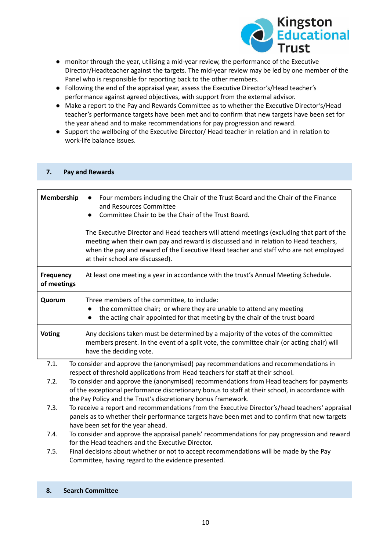

- monitor through the year, utilising a mid-year review, the performance of the Executive Director/Headteacher against the targets. The mid-year review may be led by one member of the Panel who is responsible for reporting back to the other members.
- Following the end of the appraisal year, assess the Executive Director's/Head teacher's performance against agreed objectives, with support from the external advisor.
- Make a report to the Pay and Rewards Committee as to whether the Executive Director's/Head teacher's performance targets have been met and to confirm that new targets have been set for the year ahead and to make recommendations for pay progression and reward.
- Support the wellbeing of the Executive Director/ Head teacher in relation and in relation to work-life balance issues.

| Membership                      | Four members including the Chair of the Trust Board and the Chair of the Finance<br>and Resources Committee<br>Committee Chair to be the Chair of the Trust Board.                                                                                                                                           |
|---------------------------------|--------------------------------------------------------------------------------------------------------------------------------------------------------------------------------------------------------------------------------------------------------------------------------------------------------------|
|                                 | The Executive Director and Head teachers will attend meetings (excluding that part of the<br>meeting when their own pay and reward is discussed and in relation to Head teachers,<br>when the pay and reward of the Executive Head teacher and staff who are not employed<br>at their school are discussed). |
| <b>Frequency</b><br>of meetings | At least one meeting a year in accordance with the trust's Annual Meeting Schedule.                                                                                                                                                                                                                          |
| Quorum                          | Three members of the committee, to include:<br>the committee chair; or where they are unable to attend any meeting<br>the acting chair appointed for that meeting by the chair of the trust board                                                                                                            |
| <b>Voting</b>                   | Any decisions taken must be determined by a majority of the votes of the committee<br>members present. In the event of a split vote, the committee chair (or acting chair) will<br>have the deciding vote.                                                                                                   |
| 7.1.                            | To consider and approve the (anonymised) pay recommendations and recommendations in<br>respect of threshold applications from Head teachers for staff at their school.                                                                                                                                       |
| 7.2.                            | To consider and approve the (anonymised) recommendations from Head teachers for payments<br>of the exceptional performance discretionary bonus to staff at their school, in accordance with<br>the Pay Policy and the Trust's discretionary bonus framework.                                                 |
| 7.3.                            | To receive a report and recommendations from the Executive Director's/head teachers' appraisal<br>panels as to whether their performance targets have been met and to confirm that new targets<br>have been set for the year ahead.                                                                          |
| 7.4.                            | To consider and approve the appraisal panels' recommendations for pay progression and reward<br>for the Head teachers and the Executive Director.                                                                                                                                                            |

7.5. Final decisions about whether or not to accept recommendations will be made by the Pay Committee, having regard to the evidence presented.

#### <span id="page-9-1"></span>**8. Search Committee**

<span id="page-9-0"></span>**7. Pay and Rewards**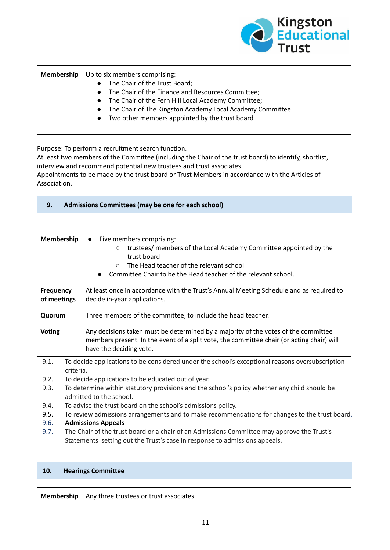

| <b>Membership</b> | Up to six members comprising:                                          |
|-------------------|------------------------------------------------------------------------|
|                   | The Chair of the Trust Board;<br>$\bullet$                             |
|                   | The Chair of the Finance and Resources Committee;<br>$\bullet$         |
|                   | The Chair of the Fern Hill Local Academy Committee;<br>$\bullet$       |
|                   | The Chair of The Kingston Academy Local Academy Committee<br>$\bullet$ |
|                   | Two other members appointed by the trust board<br>$\bullet$            |
|                   |                                                                        |

Purpose: To perform a recruitment search function.

At least two members of the Committee (including the Chair of the trust board) to identify, shortlist, interview and recommend potential new trustees and trust associates.

Appointments to be made by the trust board or Trust Members in accordance with the Articles of Association.

# <span id="page-10-0"></span>**9. Admissions Committees (may be one for each school)**

| Membership                                                                                            | Five members comprising:<br>$\bullet$<br>trustees/ members of the Local Academy Committee appointed by the<br>$\circ$<br>trust board<br>The Head teacher of the relevant school<br>$\circ$<br>• Committee Chair to be the Head teacher of the relevant school. |
|-------------------------------------------------------------------------------------------------------|----------------------------------------------------------------------------------------------------------------------------------------------------------------------------------------------------------------------------------------------------------------|
| <b>Frequency</b><br>of meetings                                                                       | At least once in accordance with the Trust's Annual Meeting Schedule and as required to<br>decide in-year applications.                                                                                                                                        |
| Quorum                                                                                                | Three members of the committee, to include the head teacher.                                                                                                                                                                                                   |
| <b>Voting</b>                                                                                         | Any decisions taken must be determined by a majority of the votes of the committee<br>members present. In the event of a split vote, the committee chair (or acting chair) will<br>have the deciding vote.                                                     |
| To decide annlications to be considered under the school's excentional reasons oversubscription<br>91 |                                                                                                                                                                                                                                                                |

9.1. To decide applications to be considered under the school's exceptional reasons oversubscription criteria.

- 9.2. To decide applications to be educated out of year.
- 9.3. To determine within statutory provisions and the school's policy whether any child should be admitted to the school.
- 9.4. To advise the trust board on the school's admissions policy.
- 9.5. To review admissions arrangements and to make recommendations for changes to the trust board.

# <span id="page-10-1"></span>9.6. **Admissions Appeals**

9.7. The Chair of the trust board or a chair of an Admissions Committee may approve the Trust's Statements setting out the Trust's case in response to admissions appeals.

#### <span id="page-10-2"></span>**10. Hearings Committee**

|  | <b>Membership</b> $\vert$ Any three trustees or trust associates. |
|--|-------------------------------------------------------------------|
|--|-------------------------------------------------------------------|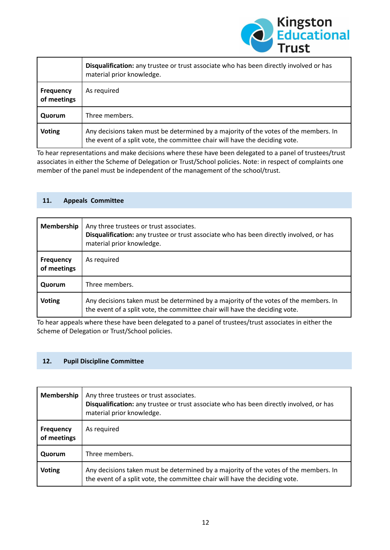

|                                 | Disqualification: any trustee or trust associate who has been directly involved or has<br>material prior knowledge.                                                 |
|---------------------------------|---------------------------------------------------------------------------------------------------------------------------------------------------------------------|
| <b>Frequency</b><br>of meetings | As required                                                                                                                                                         |
| Quorum                          | Three members.                                                                                                                                                      |
| <b>Voting</b>                   | Any decisions taken must be determined by a majority of the votes of the members. In<br>the event of a split vote, the committee chair will have the deciding vote. |

To hear representations and make decisions where these have been delegated to a panel of trustees/trust associates in either the Scheme of Delegation or Trust/School policies. Note: in respect of complaints one member of the panel must be independent of the management of the school/trust.

#### <span id="page-11-0"></span>**11. Appeals Committee**

| Membership                      | Any three trustees or trust associates.<br>Disqualification: any trustee or trust associate who has been directly involved, or has<br>material prior knowledge.     |
|---------------------------------|---------------------------------------------------------------------------------------------------------------------------------------------------------------------|
| <b>Frequency</b><br>of meetings | As required                                                                                                                                                         |
| Quorum                          | Three members.                                                                                                                                                      |
| <b>Voting</b>                   | Any decisions taken must be determined by a majority of the votes of the members. In<br>the event of a split vote, the committee chair will have the deciding vote. |

To hear appeals where these have been delegated to a panel of trustees/trust associates in either the Scheme of Delegation or Trust/School policies.

#### <span id="page-11-1"></span>**12. Pupil Discipline Committee**

| Membership                      | Any three trustees or trust associates.<br>Disqualification: any trustee or trust associate who has been directly involved, or has<br>material prior knowledge.     |
|---------------------------------|---------------------------------------------------------------------------------------------------------------------------------------------------------------------|
| <b>Frequency</b><br>of meetings | As required                                                                                                                                                         |
| Quorum                          | Three members.                                                                                                                                                      |
| <b>Voting</b>                   | Any decisions taken must be determined by a majority of the votes of the members. In<br>the event of a split vote, the committee chair will have the deciding vote. |